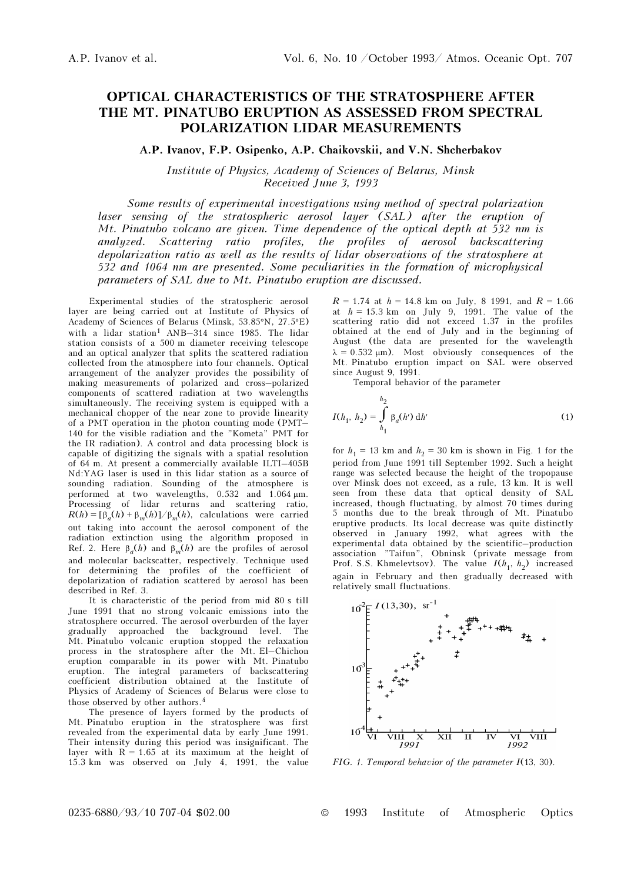## OPTICAL CHARACTERISTICS OF THE STRATOSPHERE AFTER THE MT. PINATUBO ERUPTION AS ASSESSED FROM SPECTRAL POLARIZATION LIDAR MEASUREMENTS

## A.P. Ivanov, F.P. Osipenko, A.P. Chaikovskii, and V.N. Shcherbakov

Institute of Physics, Academy of Sciences of Belarus, Minsk Received June 3, 1993

Some results of experimental investigations using method of spectral polarization laser sensing of the stratospheric aerosol layer (SAL) after the eruption of Mt. Pinatubo volcano are given. Time dependence of the optical depth at 532 nm is analyzed. Scattering ratio profiles, the profiles of aerosol backscattering depolarization ratio as well as the results of lidar observations of the stratosphere at 532 and 1064 nm are presented. Some peculiarities in the formation of microphysical parameters of SAL due to Mt. Pinatubo eruption are discussed.

Experimental studies of the stratospheric aerosol layer are being carried out at Institute of Physics of Academy of Sciences of Belarus (Minsk, 53.85°N, 27.5°E) with a lidar station<sup>1</sup>  $AND-314$  since 1985. The lidar station consists of a 500 m diameter receiving telescope and an optical analyzer that splits the scattered radiation collected from the atmosphere into four channels. Optical arrangement of the analyzer provides the possibility of making measurements of polarized and cross–polarized components of scattered radiation at two wavelengths simultaneously. The receiving system is equipped with a mechanical chopper of the near zone to provide linearity of a PMT operation in the photon counting mode (PMT– 140 for the visible radiation and the "Kometa" PMT for the IR radiation). A control and data processing block is capable of digitizing the signals with a spatial resolution of 64 m. At present a commercially available ILTI–405B Nd:YAG laser is used in this lidar station as a source of sounding radiation. Sounding of the atmosphere is performed at two wavelengths, 0.532 and 1.064 μm. Processing of lidar returns and scattering ratio,  $R(h) = [\beta_a(h) + \beta_m(h)]/\beta_m(h)$ , calculations were carried out taking into account the aerosol component of the radiation extinction using the algorithm proposed in Ref. 2. Here  $\beta_a(h)$  and  $\beta_m(h)$  are the profiles of aerosol and molecular backscatter, respectively. Technique used for determining the profiles of the coefficient of depolarization of radiation scattered by aerosol has been described in Ref. 3.

It is characteristic of the period from mid 80 s till June 1991 that no strong volcanic emissions into the stratosphere occurred. The aerosol overburden of the layer gradually approached the background level. The Mt. Pinatubo volcanic eruption stopped the relaxation process in the stratosphere after the Mt. El–Chichon eruption comparable in its power with Mt. Pinatubo eruption. The integral parameters of backscattering coefficient distribution obtained at the Institute of Physics of Academy of Sciences of Belarus were close to those observed by other authors.<sup>4</sup>

The presence of layers formed by the products of Mt. Pinatubo eruption in the stratosphere was first revealed from the experimental data by early June 1991. Their intensity during this period was insignificant. The layer with  $R = 1.65$  at its maximum at the height of 15.3 km was observed on July 4, 1991, the value

 $R = 1.74$  at  $h = 14.8$  km on July, 8 1991, and  $R = 1.66$ at  $h = 15.3$  km on July 9, 1991. The value of the scattering ratio did not exceed 1.37 in the profiles obtained at the end of July and in the beginning of August (the data are presented for the wavelength  $\lambda = 0.532 \text{ }\mu\text{m}$ ). Most obviously consequences of the Mt. Pinatubo eruption impact on SAL were observed since August 9, 1991.

Temporal behavior of the parameter

$$
I(h_1, h_2) = \int_{h_1}^{h_2} \beta_a(h') \, dh'
$$
 (1)

for  $h_1 = 13$  km and  $h_2 = 30$  km is shown in Fig. 1 for the period from June 1991 till September 1992. Such a height range was selected because the height of the tropopause over Minsk does not exceed, as a rule, 13 km. It is well seen from these data that optical density of SAL increased, though fluctuating, by almost 70 times during 5 months due to the break through of Mt. Pinatubo eruptive products. Its local decrease was quite distinctly observed in January 1992, what agrees with the experimental data obtained by the scientific–production association "Taifun", Obninsk (private message from Prof. S.S. Khmelevtsov). The value  $I(h_1, h_2)$  increased again in February and then gradually decreased with relatively small fluctuations.



FIG. 1. Temporal behavior of the parameter I(13, 30).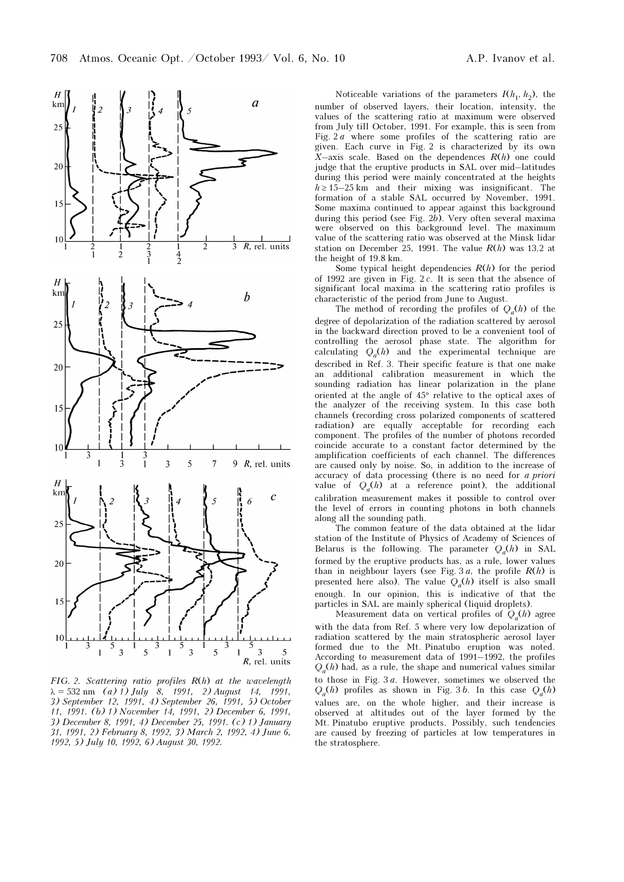

FIG. 2. Scattering ratio profiles R(h) at the wavelength  $\lambda = 532$  nm (a) 1) July 8, 1991, 2) August 14, 1991, 3) September 12, 1991, 4) September 26, 1991, 5) October 11, 1991. (b) 1) November 14, 1991, 2) December 6, 1991, 3) December 8, 1991, 4) December 25, 1991. (c) 1) January 31, 1991, 2) February 8, 1992, 3) March 2, 1992, 4) June 6, 1992, 5) July 10, 1992, 6) August 30, 1992.

Noticeable variations of the parameters  $I(h_1, h_2)$ , the number of observed layers, their location, intensity, the values of the scattering ratio at maximum were observed from July till October, 1991. For example, this is seen from Fig. 2 a where some profiles of the scattering ratio are given. Each curve in Fig. 2 is characterized by its own  $X$ -axis scale. Based on the dependences  $R(h)$  one could judge that the eruptive products in SAL over mid–latitudes during this period were mainly concentrated at the heights  $h \ge 15-25$  km and their mixing was insignificant. The formation of a stable SAL occurred by November, 1991. Some maxima continued to appear against this background during this period (see Fig. 2b). Very often several maxima were observed on this background level. The maximum value of the scattering ratio was observed at the Minsk lidar station on December 25, 1991. The value  $R(h)$  was 13.2 at the height of 19.8 km.

Some typical height dependencies  $R(h)$  for the period of 1992 are given in Fig. 2 c. It is seen that the absence of significant local maxima in the scattering ratio profiles is characteristic of the period from June to August.

The method of recording the profiles of  $Q_a(h)$  of the degree of depolarization of the radiation scattered by aerosol in the backward direction proved to be a convenient tool of controlling the aerosol phase state. The algorithm for calculating  $Q_a(h)$  and the experimental technique are described in Ref. 3. Their specific feature is that one make an additional calibration measurement in which the sounding radiation has linear polarization in the plane oriented at the angle of 45° relative to the optical axes of the analyzer of the receiving system. In this case both channels (recording cross polarized components of scattered radiation) are equally acceptable for recording each component. The profiles of the number of photons recorded coincide accurate to a constant factor determined by the amplification coefficients of each channel. The differences are caused only by noise. So, in addition to the increase of accuracy of data processing (there is no need for a priori value of  $Q_a(h)$  at a reference point), the additional calibration measurement makes it possible to control over the level of errors in counting photons in both channels along all the sounding path.

The common feature of the data obtained at the lidar station of the Institute of Physics of Academy of Sciences of Belarus is the following. The parameter  $Q_a(h)$  in SAL formed by the eruptive products has, as a rule, lower values than in neighbour layers (see Fig. 3a, the profile  $R(h)$  is presented here also). The value  $Q_a(h)$  itself is also small enough. In our opinion, this is indicative of that the particles in SAL are mainly spherical (liquid droplets).

Measurement data on vertical profiles of  $Q_a(h)$  agree with the data from Ref. 5 where very low depolarization of radiation scattered by the main stratospheric aerosol layer formed due to the Mt. Pinatubo eruption was noted. According to measurement data of 1991–1992, the profiles  $Q_a(h)$  had, as a rule, the shape and numerical values similar to those in Fig.  $3a$ . However, sometimes we observed the  $Q_a(h)$  profiles as shown in Fig. 3b. In this case  $Q_a(h)$ values are, on the whole higher, and their increase is observed at altitudes out of the layer formed by the Mt. Pinatubo eruptive products. Possibly, such tendencies are caused by freezing of particles at low temperatures in the stratosphere.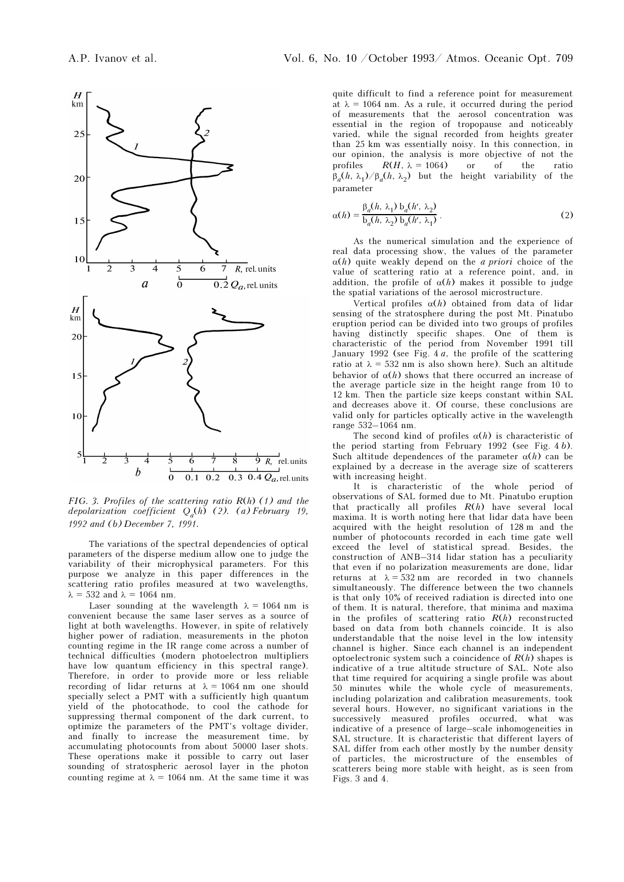

FIG. 3. Profiles of the scattering ratio R(h) (1) and the depolarization coefficient  $Q_a(h)$  (2). (a) February 19, 1992 and (b) December 7, 1991.

The variations of the spectral dependencies of optical parameters of the disperse medium allow one to judge the variability of their microphysical parameters. For this purpose we analyze in this paper differences in the scattering ratio profiles measured at two wavelengths,  $\lambda = 532$  and  $\lambda = 1064$  nm.

Laser sounding at the wavelength  $\lambda = 1064$  nm is convenient because the same laser serves as a source of light at both wavelengths. However, in spite of relatively higher power of radiation, measurements in the photon counting regime in the IR range come across a number of technical difficulties (modern photoelectron multipliers have low quantum efficiency in this spectral range). Therefore, in order to provide more or less reliable recording of lidar returns at  $\lambda = 1064$  nm one should specially select a PMT with a sufficiently high quantum yield of the photocathode, to cool the cathode for suppressing thermal component of the dark current, to optimize the parameters of the PMT's voltage divider, and finally to increase the measurement time, by accumulating photocounts from about 50000 laser shots. These operations make it possible to carry out laser sounding of stratospheric aerosol layer in the photon counting regime at  $\lambda = 1064$  nm. At the same time it was

quite difficult to find a reference point for measurement at  $\lambda = 1064$  nm. As a rule, it occurred during the period of measurements that the aerosol concentration was essential in the region of tropopause and noticeably varied, while the signal recorded from heights greater than 25 km was essentially noisy. In this connection, in our opinion, the analysis is more objective of not the profiles  $R(H, \lambda = 1064)$  or of the ratio  $\beta_a(h, \lambda_1)/\beta_a(h, \lambda_2)$  but the height variability of the parameter

$$
\alpha(h) = \frac{\beta_a(h, \lambda_1) b_a(h', \lambda_2)}{b_a(h, \lambda_2) b_a(h', \lambda_1)}.
$$
\n(2)

As the numerical simulation and the experience of real data processing show, the values of the parameter  $\alpha(h)$  quite weakly depend on the *a priori* choice of the value of scattering ratio at a reference point, and, in addition, the profile of  $\alpha(h)$  makes it possible to judge the spatial variations of the aerosol microstructure.

Vertical profiles  $\alpha(h)$  obtained from data of lidar sensing of the stratosphere during the post Mt. Pinatubo eruption period can be divided into two groups of profiles having distinctly specific shapes. One of them is characteristic of the period from November 1991 till January 1992 (see Fig. 4 a, the profile of the scattering ratio at  $\lambda = 532$  nm is also shown here). Such an altitude behavior of  $\alpha(h)$  shows that there occurred an increase of the average particle size in the height range from 10 to 12 km. Then the particle size keeps constant within SAL and decreases above it. Of course, these conclusions are valid only for particles optically active in the wavelength range 532–1064 nm.

The second kind of profiles  $\alpha(h)$  is characteristic of the period starting from February 1992 (see Fig. 4 b). Such altitude dependences of the parameter  $\alpha(h)$  can be explained by a decrease in the average size of scatterers with increasing height.

It is characteristic of the whole period of observations of SAL formed due to Mt. Pinatubo eruption that practically all profiles  $R(h)$  have several local maxima. It is worth noting here that lidar data have been acquired with the height resolution of 128 m and the number of photocounts recorded in each time gate well exceed the level of statistical spread. Besides, the construction of ANB–314 lidar station has a peculiarity that even if no polarization measurements are done, lidar returns at  $\lambda = 532$  nm are recorded in two channels simultaneously. The difference between the two channels is that only 10% of received radiation is directed into one of them. It is natural, therefore, that minima and maxima in the profiles of scattering ratio  $R(h)$  reconstructed based on data from both channels coincide. It is also understandable that the noise level in the low intensity channel is higher. Since each channel is an independent optoelectronic system such a coincidence of  $R(h)$  shapes is indicative of a true altitude structure of SAL. Note also that time required for acquiring a single profile was about 50 minutes while the whole cycle of measurements, including polarization and calibration measurements, took several hours. However, no significant variations in the successively measured profiles occurred, what was indicative of a presence of large–scale inhomogeneities in SAL structure. It is characteristic that different layers of SAL differ from each other mostly by the number density of particles, the microstructure of the ensembles of scatterers being more stable with height, as is seen from Figs. 3 and 4.